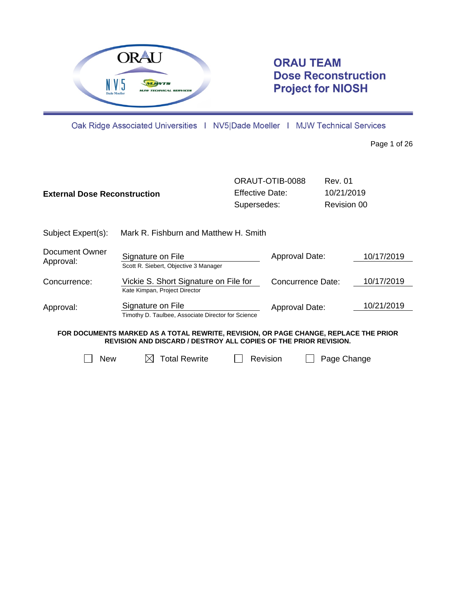

# **ORAU TEAM Dose Reconstruction Project for NIOSH**

Oak Ridge Associated Universities | NV5|Dade Moeller | MJW Technical Services

Page 1 of 26

| <b>External Dose Reconstruction</b> |                                                                                      | ORAUT-OTIB-0088<br>Effective Date:<br>Supersedes: |                   | <b>Rev. 01</b><br>10/21/2019<br>Revision 00 |            |
|-------------------------------------|--------------------------------------------------------------------------------------|---------------------------------------------------|-------------------|---------------------------------------------|------------|
| Subject Expert(s):                  | Mark R. Fishburn and Matthew H. Smith                                                |                                                   |                   |                                             |            |
| Document Owner<br>Approval:         | Signature on File<br>Scott R. Siebert, Objective 3 Manager                           |                                                   | Approval Date:    |                                             | 10/17/2019 |
| Concurrence:                        | Vickie S. Short Signature on File for<br>Kate Kimpan, Project Director               |                                                   | Concurrence Date: |                                             | 10/17/2019 |
| Approval:                           | Signature on File<br>Timothy D. Taulbee, Associate Director for Science              |                                                   | Approval Date:    |                                             | 10/21/2019 |
|                                     | FOR DOCUMENTS MARKED AS A TOTAL REWRITE, REVISION, OR PAGE CHANGE, REPLACE THE PRIOR |                                                   |                   |                                             |            |

**REVISION AND DISCARD / DESTROY ALL COPIES OF THE PRIOR REVISION.**

 $\Box$  New  $\Box$  Total Rewrite  $\Box$  Revision  $\Box$  Page Change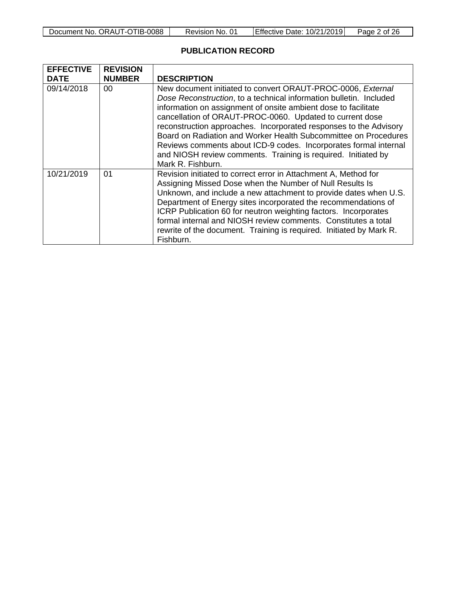| Document No. ORAUT-OTIB-0088 | Revision No. 01 | Effective Date: 10/21/2019 | Page 2 of 26 |
|------------------------------|-----------------|----------------------------|--------------|
|------------------------------|-----------------|----------------------------|--------------|

# **PUBLICATION RECORD**

| <b>EFFECTIVE</b> | <b>REVISION</b> |                                                                                                                                                                                                                                                                                                                                                                                                                                                                                                                                                                   |
|------------------|-----------------|-------------------------------------------------------------------------------------------------------------------------------------------------------------------------------------------------------------------------------------------------------------------------------------------------------------------------------------------------------------------------------------------------------------------------------------------------------------------------------------------------------------------------------------------------------------------|
| <b>DATE</b>      | <b>NUMBER</b>   | <b>DESCRIPTION</b>                                                                                                                                                                                                                                                                                                                                                                                                                                                                                                                                                |
| 09/14/2018       | 00              | New document initiated to convert ORAUT-PROC-0006, External<br>Dose Reconstruction, to a technical information bulletin. Included<br>information on assignment of onsite ambient dose to facilitate<br>cancellation of ORAUT-PROC-0060. Updated to current dose<br>reconstruction approaches. Incorporated responses to the Advisory<br>Board on Radiation and Worker Health Subcommittee on Procedures<br>Reviews comments about ICD-9 codes. Incorporates formal internal<br>and NIOSH review comments. Training is required. Initiated by<br>Mark R. Fishburn. |
| 10/21/2019       | 01              | Revision initiated to correct error in Attachment A, Method for<br>Assigning Missed Dose when the Number of Null Results Is<br>Unknown, and include a new attachment to provide dates when U.S.<br>Department of Energy sites incorporated the recommendations of<br>ICRP Publication 60 for neutron weighting factors. Incorporates<br>formal internal and NIOSH review comments. Constitutes a total<br>rewrite of the document. Training is required. Initiated by Mark R.<br>Fishburn.                                                                        |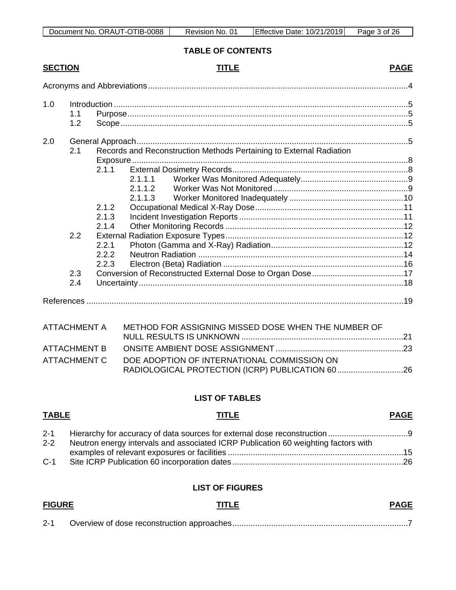| Document No. ORAUT-OTIB-0088<br>Revision No. 01 | Effective Date: 10/21/2019 | Page 3 of 26 |
|-------------------------------------------------|----------------------------|--------------|
|-------------------------------------------------|----------------------------|--------------|

# **TABLE OF CONTENTS**

# **SECTION TITLE PAGE**

| 1.0 | 1.1 |       |         |                                                                     |  |
|-----|-----|-------|---------|---------------------------------------------------------------------|--|
|     | 1.2 |       |         |                                                                     |  |
| 2.0 | 2.1 |       |         | Records and Reconstruction Methods Pertaining to External Radiation |  |
|     |     |       |         |                                                                     |  |
|     |     | 2.1.1 |         |                                                                     |  |
|     |     |       | 2.1.1.1 |                                                                     |  |
|     |     |       | 2.1.1.2 |                                                                     |  |
|     |     |       | 2.1.1.3 |                                                                     |  |
|     |     | 2.1.2 |         |                                                                     |  |
|     |     | 2.1.3 |         |                                                                     |  |
|     |     | 2.1.4 |         |                                                                     |  |
|     | 2.2 |       |         |                                                                     |  |
|     |     | 2.2.1 |         |                                                                     |  |
|     |     | 2.2.2 |         |                                                                     |  |
|     |     | 2.2.3 |         |                                                                     |  |
|     | 2.3 |       |         |                                                                     |  |
|     | 2.4 |       |         |                                                                     |  |
|     |     |       |         |                                                                     |  |

| ATTACHMENT A | METHOD FOR ASSIGNING MISSED DOSE WHEN THE NUMBER OF |  |
|--------------|-----------------------------------------------------|--|
|              |                                                     |  |
| ATTACHMENT B |                                                     |  |
| ATTACHMENT C | DOE ADOPTION OF INTERNATIONAL COMMISSION ON         |  |
|              |                                                     |  |

# **LIST OF TABLES**

# **TABLE TITLE PAGE** 2-1 [Hierarchy for accuracy of data sources for external dose reconstruction](#page-8-2) .................................. 2-2 [Neutron energy intervals and associated ICRP Publication 60 weighting factors with](#page-14-0)  examples of relevant exposures or facilities [.............................................................................15](#page-14-0) C-1 Site ICRP Publication 60 incorporation dates [...........................................................................26](#page-25-1)

#### **LIST OF FIGURES**

| <b>FIGURE</b> | <b>TITLE</b> | <b>PAGE</b> |
|---------------|--------------|-------------|
| $2 - 1$       |              |             |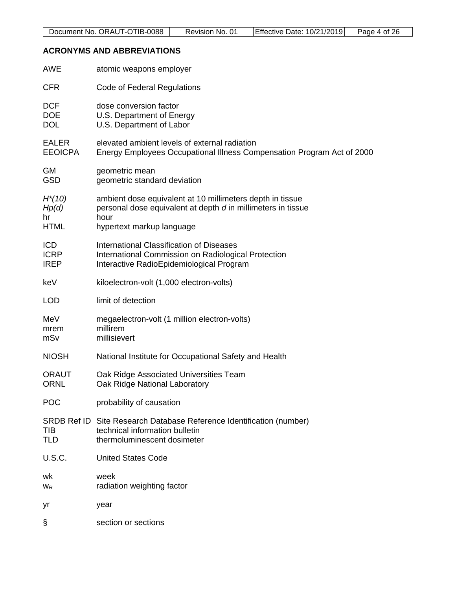#### <span id="page-3-0"></span>**ACRONYMS AND ABBREVIATIONS**

| <b>AWE</b>         | atomic weapons employer                                                |
|--------------------|------------------------------------------------------------------------|
| <b>CFR</b>         | Code of Federal Regulations                                            |
| <b>DCF</b>         | dose conversion factor                                                 |
| <b>DOE</b>         | U.S. Department of Energy                                              |
| <b>DOL</b>         | U.S. Department of Labor                                               |
| <b>EALER</b>       | elevated ambient levels of external radiation                          |
| <b>EEOICPA</b>     | Energy Employees Occupational Illness Compensation Program Act of 2000 |
| GM                 | geometric mean                                                         |
| <b>GSD</b>         | geometric standard deviation                                           |
| $H^*(10)$          | ambient dose equivalent at 10 millimeters depth in tissue              |
| Hp(d)              | personal dose equivalent at depth d in millimeters in tissue           |
| hr                 | hour                                                                   |
| <b>HTML</b>        | hypertext markup language                                              |
| <b>ICD</b>         | <b>International Classification of Diseases</b>                        |
| <b>ICRP</b>        | International Commission on Radiological Protection                    |
| <b>IREP</b>        | Interactive RadioEpidemiological Program                               |
| keV                | kiloelectron-volt (1,000 electron-volts)                               |
| <b>LOD</b>         | limit of detection                                                     |
| MeV                | megaelectron-volt (1 million electron-volts)                           |
| mrem               | millirem                                                               |
| mSv                | millisievert                                                           |
| <b>NIOSH</b>       | National Institute for Occupational Safety and Health                  |
| <b>ORAUT</b>       | Oak Ridge Associated Universities Team                                 |
| <b>ORNL</b>        | Oak Ridge National Laboratory                                          |
| <b>POC</b>         | probability of causation                                               |
| <b>SRDB Ref ID</b> | Site Research Database Reference Identification (number)               |
| TIB                | technical information bulletin                                         |
| <b>TLD</b>         | thermoluminescent dosimeter                                            |
| <b>U.S.C.</b>      | <b>United States Code</b>                                              |
| wk                 | week                                                                   |
| $W_R$              | radiation weighting factor                                             |
| yr                 | year                                                                   |
| §                  | section or sections                                                    |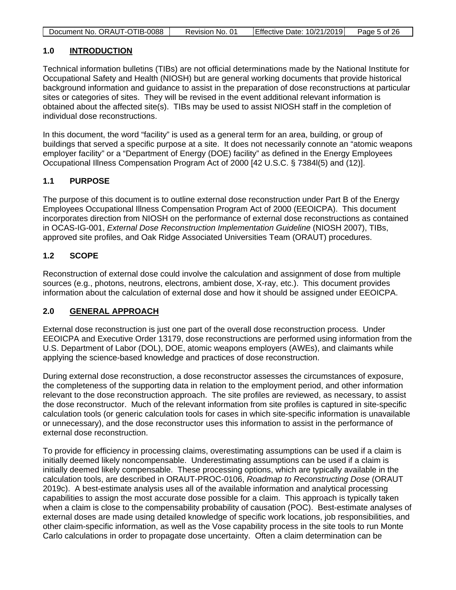| Document No. ORAUT-OTIB-0088 | Revision No. 01 | Effective Date: 10/21/2019 | Page 5 of 26 |
|------------------------------|-----------------|----------------------------|--------------|

# <span id="page-4-0"></span>**1.0 INTRODUCTION**

Technical information bulletins (TIBs) are not official determinations made by the National Institute for Occupational Safety and Health (NIOSH) but are general working documents that provide historical background information and guidance to assist in the preparation of dose reconstructions at particular sites or categories of sites. They will be revised in the event additional relevant information is obtained about the affected site(s). TIBs may be used to assist NIOSH staff in the completion of individual dose reconstructions.

In this document, the word "facility" is used as a general term for an area, building, or group of buildings that served a specific purpose at a site. It does not necessarily connote an "atomic weapons employer facility" or a "Department of Energy (DOE) facility" as defined in the Energy Employees Occupational Illness Compensation Program Act of 2000 [42 U.S.C. § 7384l(5) and (12)].

# <span id="page-4-1"></span>**1.1 PURPOSE**

The purpose of this document is to outline external dose reconstruction under Part B of the Energy Employees Occupational Illness Compensation Program Act of 2000 (EEOICPA). This document incorporates direction from NIOSH on the performance of external dose reconstructions as contained in OCAS-IG-001, *External Dose Reconstruction Implementation Guideline* (NIOSH 2007), TIBs, approved site profiles, and Oak Ridge Associated Universities Team (ORAUT) procedures.

# <span id="page-4-2"></span>**1.2 SCOPE**

Reconstruction of external dose could involve the calculation and assignment of dose from multiple sources (e.g., photons, neutrons, electrons, ambient dose, X-ray, etc.). This document provides information about the calculation of external dose and how it should be assigned under EEOICPA.

# <span id="page-4-3"></span>**2.0 GENERAL APPROACH**

External dose reconstruction is just one part of the overall dose reconstruction process. Under EEOICPA and Executive Order 13179, dose reconstructions are performed using information from the U.S. Department of Labor (DOL), DOE, atomic weapons employers (AWEs), and claimants while applying the science-based knowledge and practices of dose reconstruction.

During external dose reconstruction, a dose reconstructor assesses the circumstances of exposure, the completeness of the supporting data in relation to the employment period, and other information relevant to the dose reconstruction approach. The site profiles are reviewed, as necessary, to assist the dose reconstructor. Much of the relevant information from site profiles is captured in site-specific calculation tools (or generic calculation tools for cases in which site-specific information is unavailable or unnecessary), and the dose reconstructor uses this information to assist in the performance of external dose reconstruction.

To provide for efficiency in processing claims, overestimating assumptions can be used if a claim is initially deemed likely noncompensable. Underestimating assumptions can be used if a claim is initially deemed likely compensable. These processing options, which are typically available in the calculation tools, are described in ORAUT-PROC-0106, *Roadmap to Reconstructing Dose* (ORAUT 2019c). A best-estimate analysis uses all of the available information and analytical processing capabilities to assign the most accurate dose possible for a claim. This approach is typically taken when a claim is close to the compensability probability of causation (POC). Best-estimate analyses of external doses are made using detailed knowledge of specific work locations, job responsibilities, and other claim-specific information, as well as the Vose capability process in the site tools to run Monte Carlo calculations in order to propagate dose uncertainty. Often a claim determination can be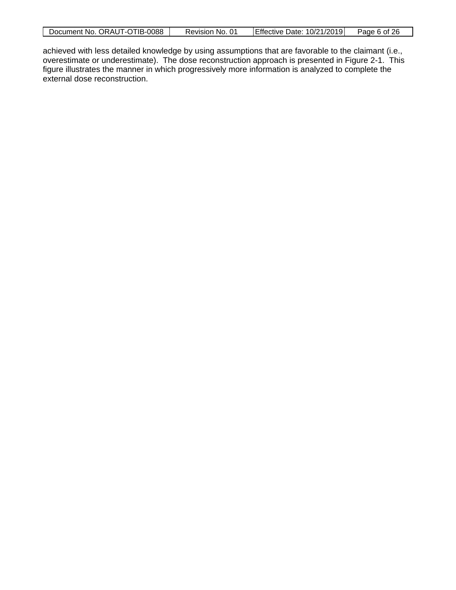| Document No. ORAUT-OTIB-0088 | Revision No. 01 | $\left  \right $ Effective Date: 10/21/2019 | Page 6 of 26 |
|------------------------------|-----------------|---------------------------------------------|--------------|
|------------------------------|-----------------|---------------------------------------------|--------------|

achieved with less detailed knowledge by using assumptions that are favorable to the claimant (i.e., overestimate or underestimate). The dose reconstruction approach is presented in Figure 2-1. This figure illustrates the manner in which progressively more information is analyzed to complete the external dose reconstruction.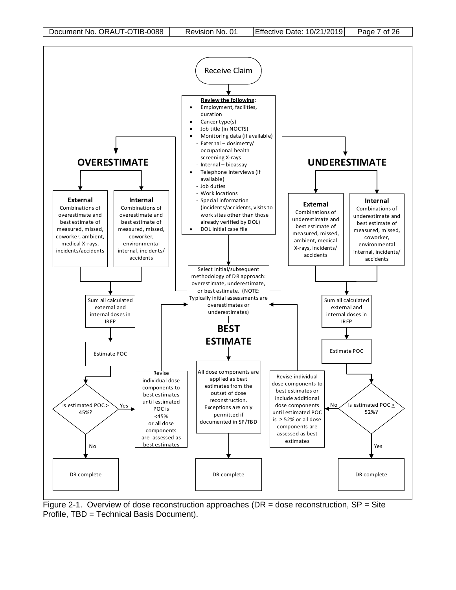

<span id="page-6-0"></span>Figure 2-1. Overview of dose reconstruction approaches (DR = dose reconstruction,  $SP = S$ ite Profile, TBD = Technical Basis Document).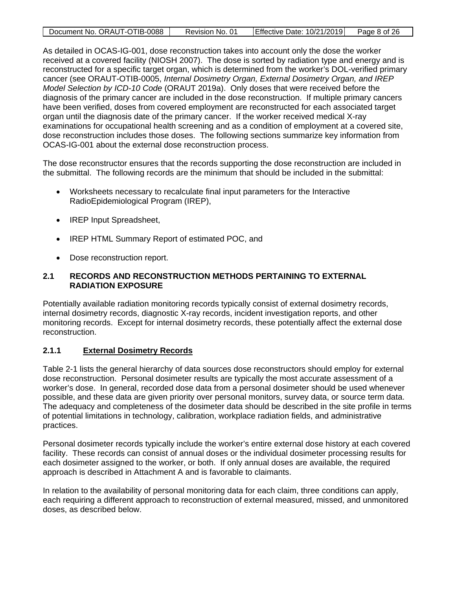| Document No. ORAUT-OTIB-0088 | Revision No. 01 | Effective Date: 10/21/2019 | Page 8 of 26 |
|------------------------------|-----------------|----------------------------|--------------|
|                              |                 |                            |              |

As detailed in OCAS-IG-001, dose reconstruction takes into account only the dose the worker received at a covered facility (NIOSH 2007). The dose is sorted by radiation type and energy and is reconstructed for a specific target organ, which is determined from the worker's DOL-verified primary cancer (see ORAUT-OTIB-0005, *Internal Dosimetry Organ, External Dosimetry Organ, and IREP Model Selection by ICD-10 Code* (ORAUT 2019a). Only doses that were received before the diagnosis of the primary cancer are included in the dose reconstruction. If multiple primary cancers have been verified, doses from covered employment are reconstructed for each associated target organ until the diagnosis date of the primary cancer. If the worker received medical X-ray examinations for occupational health screening and as a condition of employment at a covered site, dose reconstruction includes those doses. The following sections summarize key information from OCAS-IG-001 about the external dose reconstruction process.

The dose reconstructor ensures that the records supporting the dose reconstruction are included in the submittal. The following records are the minimum that should be included in the submittal:

- Worksheets necessary to recalculate final input parameters for the Interactive RadioEpidemiological Program (IREP),
- IREP Input Spreadsheet,
- IREP HTML Summary Report of estimated POC, and
- Dose reconstruction report.

# <span id="page-7-0"></span>**2.1 RECORDS AND RECONSTRUCTION METHODS PERTAINING TO EXTERNAL RADIATION EXPOSURE**

Potentially available radiation monitoring records typically consist of external dosimetry records, internal dosimetry records, diagnostic X-ray records, incident investigation reports, and other monitoring records. Except for internal dosimetry records, these potentially affect the external dose reconstruction.

# <span id="page-7-1"></span>**2.1.1 External Dosimetry Records**

Table 2-1 lists the general hierarchy of data sources dose reconstructors should employ for external dose reconstruction. Personal dosimeter results are typically the most accurate assessment of a worker's dose. In general, recorded dose data from a personal dosimeter should be used whenever possible, and these data are given priority over personal monitors, survey data, or source term data. The adequacy and completeness of the dosimeter data should be described in the site profile in terms of potential limitations in technology, calibration, workplace radiation fields, and administrative practices.

Personal dosimeter records typically include the worker's entire external dose history at each covered facility. These records can consist of annual doses or the individual dosimeter processing results for each dosimeter assigned to the worker, or both. If only annual doses are available, the required approach is described in Attachment A and is favorable to claimants.

In relation to the availability of personal monitoring data for each claim, three conditions can apply, each requiring a different approach to reconstruction of external measured, missed, and unmonitored doses, as described below.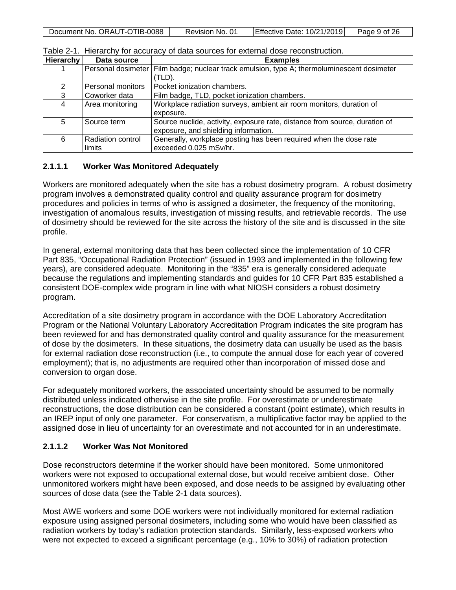<span id="page-8-2"></span>

|  | Document No. ORAUT-OTIB-0088 | Revision No. 01 | <b>Effective Date: 10/21/2019</b> | Page 9 of 26 |
|--|------------------------------|-----------------|-----------------------------------|--------------|
|--|------------------------------|-----------------|-----------------------------------|--------------|

| Hierarchy     | Data source          | <b>Examples</b>                                                            |
|---------------|----------------------|----------------------------------------------------------------------------|
|               | Personal dosimeter I | Film badge; nuclear track emulsion, type A; thermoluminescent dosimeter    |
|               |                      | (TLD).                                                                     |
| $\mathcal{P}$ | Personal monitors    | Pocket ionization chambers.                                                |
| 3             | Coworker data        | Film badge, TLD, pocket ionization chambers.                               |
| 4             | Area monitoring      | Workplace radiation surveys, ambient air room monitors, duration of        |
|               |                      | exposure.                                                                  |
| 5             | Source term          | Source nuclide, activity, exposure rate, distance from source, duration of |
|               |                      | exposure, and shielding information.                                       |
| 6             | Radiation control    | Generally, workplace posting has been required when the dose rate          |
|               | limits               | exceeded 0.025 mSv/hr.                                                     |

Table 2-1. Hierarchy for accuracy of data sources for external dose reconstruction.

#### <span id="page-8-0"></span>**2.1.1.1 Worker Was Monitored Adequately**

Workers are monitored adequately when the site has a robust dosimetry program. A robust dosimetry program involves a demonstrated quality control and quality assurance program for dosimetry procedures and policies in terms of who is assigned a dosimeter, the frequency of the monitoring, investigation of anomalous results, investigation of missing results, and retrievable records. The use of dosimetry should be reviewed for the site across the history of the site and is discussed in the site profile.

In general, external monitoring data that has been collected since the implementation of 10 CFR Part 835, "Occupational Radiation Protection" (issued in 1993 and implemented in the following few years), are considered adequate. Monitoring in the "835" era is generally considered adequate because the regulations and implementing standards and guides for 10 CFR Part 835 established a consistent DOE-complex wide program in line with what NIOSH considers a robust dosimetry program.

Accreditation of a site dosimetry program in accordance with the DOE Laboratory Accreditation Program or the National Voluntary Laboratory Accreditation Program indicates the site program has been reviewed for and has demonstrated quality control and quality assurance for the measurement of dose by the dosimeters. In these situations, the dosimetry data can usually be used as the basis for external radiation dose reconstruction (i.e., to compute the annual dose for each year of covered employment); that is, no adjustments are required other than incorporation of missed dose and conversion to organ dose.

For adequately monitored workers, the associated uncertainty should be assumed to be normally distributed unless indicated otherwise in the site profile. For overestimate or underestimate reconstructions, the dose distribution can be considered a constant (point estimate), which results in an IREP input of only one parameter. For conservatism, a multiplicative factor may be applied to the assigned dose in lieu of uncertainty for an overestimate and not accounted for in an underestimate.

# <span id="page-8-1"></span>**2.1.1.2 Worker Was Not Monitored**

Dose reconstructors determine if the worker should have been monitored. Some unmonitored workers were not exposed to occupational external dose, but would receive ambient dose. Other unmonitored workers might have been exposed, and dose needs to be assigned by evaluating other sources of dose data (see the Table 2-1 data sources).

Most AWE workers and some DOE workers were not individually monitored for external radiation exposure using assigned personal dosimeters, including some who would have been classified as radiation workers by today's radiation protection standards. Similarly, less-exposed workers who were not expected to exceed a significant percentage (e.g., 10% to 30%) of radiation protection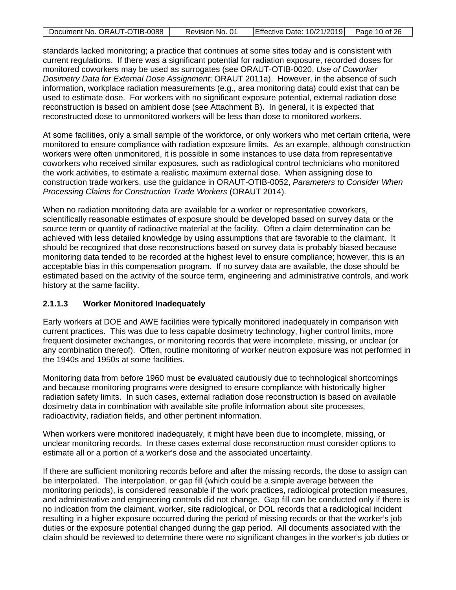|  | Document No. ORAUT-OTIB-0088 | Revision No. 01 | Effective Date: $10/21/2019$ Page 10 of 26 |  |
|--|------------------------------|-----------------|--------------------------------------------|--|
|--|------------------------------|-----------------|--------------------------------------------|--|

standards lacked monitoring; a practice that continues at some sites today and is consistent with current regulations. If there was a significant potential for radiation exposure, recorded doses for monitored coworkers may be used as surrogates (see ORAUT-OTIB-0020, *Use of Coworker Dosimetry Data for External Dose Assignment*; ORAUT 2011a). However, in the absence of such information, workplace radiation measurements (e.g., area monitoring data) could exist that can be used to estimate dose. For workers with no significant exposure potential, external radiation dose reconstruction is based on ambient dose (see Attachment B). In general, it is expected that reconstructed dose to unmonitored workers will be less than dose to monitored workers.

At some facilities, only a small sample of the workforce, or only workers who met certain criteria, were monitored to ensure compliance with radiation exposure limits. As an example, although construction workers were often unmonitored, it is possible in some instances to use data from representative coworkers who received similar exposures, such as radiological control technicians who monitored the work activities, to estimate a realistic maximum external dose. When assigning dose to construction trade workers, use the guidance in ORAUT-OTIB-0052, *Parameters to Consider When Processing Claims for Construction Trade Workers* (ORAUT 2014).

When no radiation monitoring data are available for a worker or representative coworkers, scientifically reasonable estimates of exposure should be developed based on survey data or the source term or quantity of radioactive material at the facility. Often a claim determination can be achieved with less detailed knowledge by using assumptions that are favorable to the claimant. It should be recognized that dose reconstructions based on survey data is probably biased because monitoring data tended to be recorded at the highest level to ensure compliance; however, this is an acceptable bias in this compensation program. If no survey data are available, the dose should be estimated based on the activity of the source term, engineering and administrative controls, and work history at the same facility.

# <span id="page-9-0"></span>**2.1.1.3 Worker Monitored Inadequately**

Early workers at DOE and AWE facilities were typically monitored inadequately in comparison with current practices. This was due to less capable dosimetry technology, higher control limits, more frequent dosimeter exchanges, or monitoring records that were incomplete, missing, or unclear (or any combination thereof). Often, routine monitoring of worker neutron exposure was not performed in the 1940s and 1950s at some facilities.

Monitoring data from before 1960 must be evaluated cautiously due to technological shortcomings and because monitoring programs were designed to ensure compliance with historically higher radiation safety limits. In such cases, external radiation dose reconstruction is based on available dosimetry data in combination with available site profile information about site processes, radioactivity, radiation fields, and other pertinent information.

When workers were monitored inadequately, it might have been due to incomplete, missing, or unclear monitoring records. In these cases external dose reconstruction must consider options to estimate all or a portion of a worker's dose and the associated uncertainty.

If there are sufficient monitoring records before and after the missing records, the dose to assign can be interpolated. The interpolation, or gap fill (which could be a simple average between the monitoring periods), is considered reasonable if the work practices, radiological protection measures, and administrative and engineering controls did not change. Gap fill can be conducted only if there is no indication from the claimant, worker, site radiological, or DOL records that a radiological incident resulting in a higher exposure occurred during the period of missing records or that the worker's job duties or the exposure potential changed during the gap period. All documents associated with the claim should be reviewed to determine there were no significant changes in the worker's job duties or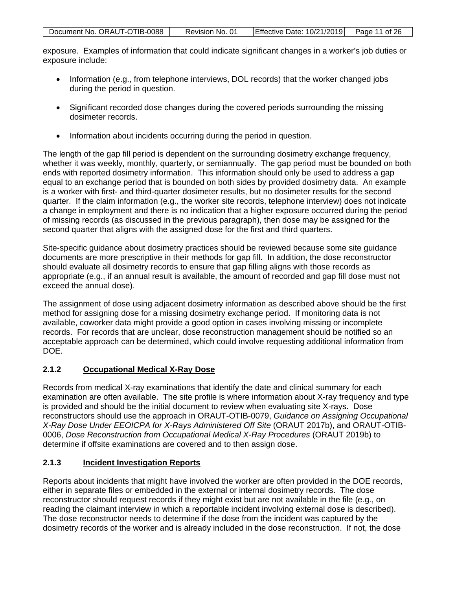| Document No. ORAUT-OTIB-0088 | Revision No. 01 | Effective Date: 10/21/2019 Page 11 of 26 |  |
|------------------------------|-----------------|------------------------------------------|--|

exposure. Examples of information that could indicate significant changes in a worker's job duties or exposure include:

- Information (e.g., from telephone interviews, DOL records) that the worker changed jobs during the period in question.
- Significant recorded dose changes during the covered periods surrounding the missing dosimeter records.
- Information about incidents occurring during the period in question.

The length of the gap fill period is dependent on the surrounding dosimetry exchange frequency, whether it was weekly, monthly, quarterly, or semiannually. The gap period must be bounded on both ends with reported dosimetry information. This information should only be used to address a gap equal to an exchange period that is bounded on both sides by provided dosimetry data. An example is a worker with first- and third-quarter dosimeter results, but no dosimeter results for the second quarter. If the claim information (e.g., the worker site records, telephone interview) does not indicate a change in employment and there is no indication that a higher exposure occurred during the period of missing records (as discussed in the previous paragraph), then dose may be assigned for the second quarter that aligns with the assigned dose for the first and third quarters.

Site-specific guidance about dosimetry practices should be reviewed because some site guidance documents are more prescriptive in their methods for gap fill. In addition, the dose reconstructor should evaluate all dosimetry records to ensure that gap filling aligns with those records as appropriate (e.g., if an annual result is available, the amount of recorded and gap fill dose must not exceed the annual dose).

The assignment of dose using adjacent dosimetry information as described above should be the first method for assigning dose for a missing dosimetry exchange period. If monitoring data is not available, coworker data might provide a good option in cases involving missing or incomplete records. For records that are unclear, dose reconstruction management should be notified so an acceptable approach can be determined, which could involve requesting additional information from DOE.

# <span id="page-10-0"></span>**2.1.2 Occupational Medical X-Ray Dose**

Records from medical X-ray examinations that identify the date and clinical summary for each examination are often available. The site profile is where information about X-ray frequency and type is provided and should be the initial document to review when evaluating site X-rays. Dose reconstructors should use the approach in ORAUT-OTIB-0079, *Guidance on Assigning Occupational X-Ray Dose Under EEOICPA for X-Rays Administered Off Site* (ORAUT 2017b), and ORAUT-OTIB-0006, *Dose Reconstruction from Occupational Medical X-Ray Procedures* (ORAUT 2019b) to determine if offsite examinations are covered and to then assign dose.

# <span id="page-10-1"></span>**2.1.3 Incident Investigation Reports**

Reports about incidents that might have involved the worker are often provided in the DOE records, either in separate files or embedded in the external or internal dosimetry records. The dose reconstructor should request records if they might exist but are not available in the file (e.g., on reading the claimant interview in which a reportable incident involving external dose is described). The dose reconstructor needs to determine if the dose from the incident was captured by the dosimetry records of the worker and is already included in the dose reconstruction. If not, the dose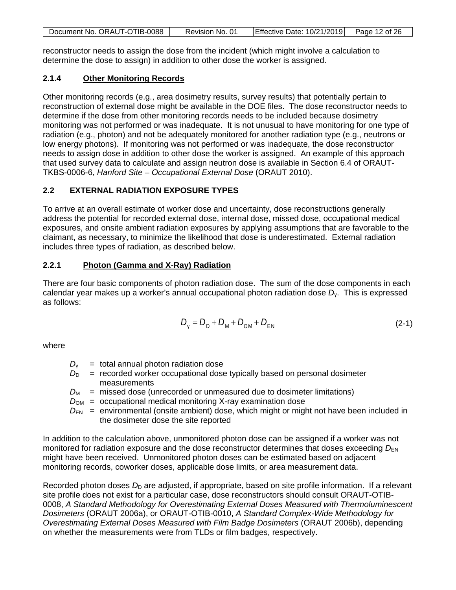| Document No. ORAUT-OTIB-0088 | Revision No. 01 | $\left $ Effective Date: 10/21/2019 $\right $ Page 12 of 26 |  |
|------------------------------|-----------------|-------------------------------------------------------------|--|
|                              |                 |                                                             |  |

reconstructor needs to assign the dose from the incident (which might involve a calculation to determine the dose to assign) in addition to other dose the worker is assigned.

# <span id="page-11-0"></span>**2.1.4 Other Monitoring Records**

Other monitoring records (e.g., area dosimetry results, survey results) that potentially pertain to reconstruction of external dose might be available in the DOE files. The dose reconstructor needs to determine if the dose from other monitoring records needs to be included because dosimetry monitoring was not performed or was inadequate. It is not unusual to have monitoring for one type of radiation (e.g., photon) and not be adequately monitored for another radiation type (e.g., neutrons or low energy photons). If monitoring was not performed or was inadequate, the dose reconstructor needs to assign dose in addition to other dose the worker is assigned. An example of this approach that used survey data to calculate and assign neutron dose is available in Section 6.4 of ORAUT-TKBS-0006-6, *Hanford Site – Occupational External Dose* (ORAUT 2010).

# <span id="page-11-1"></span>**2.2 EXTERNAL RADIATION EXPOSURE TYPES**

To arrive at an overall estimate of worker dose and uncertainty, dose reconstructions generally address the potential for recorded external dose, internal dose, missed dose, occupational medical exposures, and onsite ambient radiation exposures by applying assumptions that are favorable to the claimant, as necessary, to minimize the likelihood that dose is underestimated. External radiation includes three types of radiation, as described below.

# <span id="page-11-2"></span>**2.2.1 Photon (Gamma and X-Ray) Radiation**

There are four basic components of photon radiation dose. The sum of the dose components in each calendar year makes up a worker's annual occupational photon radiation dose *D*γ. This is expressed as follows:

$$
D_{V} = D_{D} + D_{M} + D_{OM} + D_{EN}
$$
 (2-1)

where

- $D_v$  = total annual photon radiation dose
- $D<sub>D</sub>$  = recorded worker occupational dose typically based on personal dosimeter measurements
- $D_M$  = missed dose (unrecorded or unmeasured due to dosimeter limitations)
- $D_{OM}$  = occupational medical monitoring X-ray examination dose
- $D_{EN}$  = environmental (onsite ambient) dose, which might or might not have been included in the dosimeter dose the site reported

In addition to the calculation above, unmonitored photon dose can be assigned if a worker was not monitored for radiation exposure and the dose reconstructor determines that doses exceeding  $D_{EN}$ might have been received. Unmonitored photon doses can be estimated based on adjacent monitoring records, coworker doses, applicable dose limits, or area measurement data.

Recorded photon doses  $D<sub>D</sub>$  are adjusted, if appropriate, based on site profile information. If a relevant site profile does not exist for a particular case, dose reconstructors should consult ORAUT-OTIB-0008, *A Standard Methodology for Overestimating External Doses Measured with Thermoluminescent Dosimeters* (ORAUT 2006a), or ORAUT-OTIB-0010, *A Standard Complex-Wide Methodology for Overestimating External Doses Measured with Film Badge Dosimeters* (ORAUT 2006b), depending on whether the measurements were from TLDs or film badges, respectively.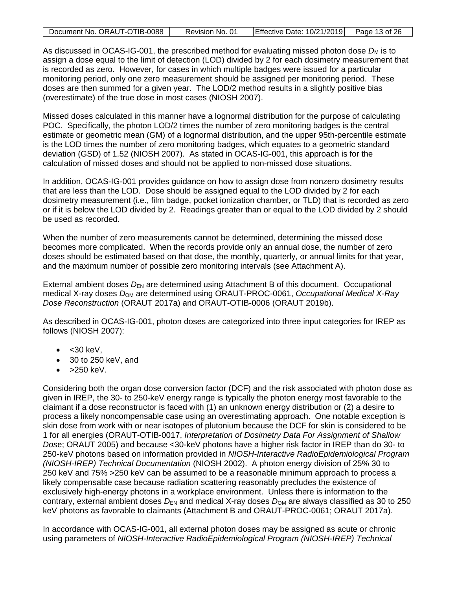| Document No. ORAUT-OTIB-0088 | Revision No. 01 | $\left $ Effective Date: 10/21/2019 $\right $ Page 13 of 26 |  |
|------------------------------|-----------------|-------------------------------------------------------------|--|
|                              |                 |                                                             |  |

As discussed in OCAS-IG-001, the prescribed method for evaluating missed photon dose  $D_M$  is to assign a dose equal to the limit of detection (LOD) divided by 2 for each dosimetry measurement that is recorded as zero. However, for cases in which multiple badges were issued for a particular monitoring period, only one zero measurement should be assigned per monitoring period. These doses are then summed for a given year. The LOD/2 method results in a slightly positive bias (overestimate) of the true dose in most cases (NIOSH 2007).

Missed doses calculated in this manner have a lognormal distribution for the purpose of calculating POC. Specifically, the photon LOD/2 times the number of zero monitoring badges is the central estimate or geometric mean (GM) of a lognormal distribution, and the upper 95th-percentile estimate is the LOD times the number of zero monitoring badges, which equates to a geometric standard deviation (GSD) of 1.52 (NIOSH 2007). As stated in OCAS-IG-001, this approach is for the calculation of missed doses and should not be applied to non-missed dose situations.

In addition, OCAS-IG-001 provides guidance on how to assign dose from nonzero dosimetry results that are less than the LOD. Dose should be assigned equal to the LOD divided by 2 for each dosimetry measurement (i.e., film badge, pocket ionization chamber, or TLD) that is recorded as zero or if it is below the LOD divided by 2. Readings greater than or equal to the LOD divided by 2 should be used as recorded.

When the number of zero measurements cannot be determined, determining the missed dose becomes more complicated. When the records provide only an annual dose, the number of zero doses should be estimated based on that dose, the monthly, quarterly, or annual limits for that year, and the maximum number of possible zero monitoring intervals (see Attachment A).

External ambient doses  $D_{EN}$  are determined using Attachment B of this document. Occupational medical X-ray doses *D*OM are determined using ORAUT-PROC-0061, *Occupational Medical X-Ray Dose Reconstruction* (ORAUT 2017a) and ORAUT-OTIB-0006 (ORAUT 2019b).

As described in OCAS-IG-001, photon doses are categorized into three input categories for IREP as follows (NIOSH 2007):

- $\bullet$  < 30 keV,
- 30 to 250 keV, and
- $\bullet$  >250 keV.

Considering both the organ dose conversion factor (DCF) and the risk associated with photon dose as given in IREP, the 30- to 250-keV energy range is typically the photon energy most favorable to the claimant if a dose reconstructor is faced with (1) an unknown energy distribution or (2) a desire to process a likely noncompensable case using an overestimating approach. One notable exception is skin dose from work with or near isotopes of plutonium because the DCF for skin is considered to be 1 for all energies (ORAUT-OTIB-0017, *Interpretation of Dosimetry Data For Assignment of Shallow Dos*e; ORAUT 2005) and because <30-keV photons have a higher risk factor in IREP than do 30- to 250-keV photons based on information provided in *NIOSH-Interactive RadioEpidemiological Program (NIOSH-IREP) Technical Documentation* (NIOSH 2002). A photon energy division of 25% 30 to 250 keV and 75% >250 keV can be assumed to be a reasonable minimum approach to process a likely compensable case because radiation scattering reasonably precludes the existence of exclusively high-energy photons in a workplace environment. Unless there is information to the contrary, external ambient doses  $D_{EN}$  and medical X-ray doses  $D_{OM}$  are always classified as 30 to 250 keV photons as favorable to claimants (Attachment B and ORAUT-PROC-0061; ORAUT 2017a).

In accordance with OCAS-IG-001, all external photon doses may be assigned as acute or chronic using parameters of *NIOSH-Interactive RadioEpidemiological Program (NIOSH-IREP) Technical*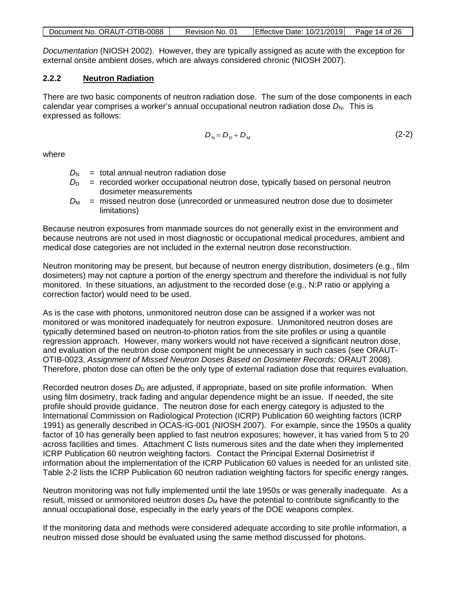| Document No. ORAUT-OTIB-0088 | Revision No. 01 | Effective Date: $10/21/2019$ Page 14 of 26 |  |
|------------------------------|-----------------|--------------------------------------------|--|
|------------------------------|-----------------|--------------------------------------------|--|

*Documentation* (NIOSH 2002). However, they are typically assigned as acute with the exception for external onsite ambient doses, which are always considered chronic (NIOSH 2007).

# <span id="page-13-0"></span>**2.2.2 Neutron Radiation**

There are two basic components of neutron radiation dose. The sum of the dose components in each calendar year comprises a worker's annual occupational neutron radiation dose D<sub>N</sub>. This is expressed as follows:

$$
D_{\rm N} = D_{\rm D} + D_{\rm M} \tag{2-2}
$$

where

- $D_N$  = total annual neutron radiation dose
- $D<sub>D</sub>$  = recorded worker occupational neutron dose, typically based on personal neutron dosimeter measurements
- *D*M = missed neutron dose (unrecorded or unmeasured neutron dose due to dosimeter limitations)

Because neutron exposures from manmade sources do not generally exist in the environment and because neutrons are not used in most diagnostic or occupational medical procedures, ambient and medical dose categories are not included in the external neutron dose reconstruction.

Neutron monitoring may be present, but because of neutron energy distribution, dosimeters (e.g., film dosimeters) may not capture a portion of the energy spectrum and therefore the individual is not fully monitored. In these situations, an adjustment to the recorded dose (e.g., N:P ratio or applying a correction factor) would need to be used.

As is the case with photons, unmonitored neutron dose can be assigned if a worker was not monitored or was monitored inadequately for neutron exposure. Unmonitored neutron doses are typically determined based on neutron-to-photon ratios from the site profiles or using a quantile regression approach. However, many workers would not have received a significant neutron dose, and evaluation of the neutron dose component might be unnecessary in such cases (see ORAUT-OTIB-0023, *Assignment of Missed Neutron Doses Based on Dosimeter Records;* ORAUT 2008). Therefore, photon dose can often be the only type of external radiation dose that requires evaluation.

Recorded neutron doses  $D<sub>D</sub>$  are adjusted, if appropriate, based on site profile information. When using film dosimetry, track fading and angular dependence might be an issue. If needed, the site profile should provide guidance. The neutron dose for each energy category is adjusted to the International Commission on Radiological Protection (ICRP) Publication 60 weighting factors (ICRP 1991) as generally described in OCAS-IG-001 (NIOSH 2007). For example, since the 1950s a quality factor of 10 has generally been applied to fast neutron exposures; however, it has varied from 5 to 20 across facilities and times. Attachment C lists numerous sites and the date when they implemented ICRP Publication 60 neutron weighting factors. Contact the Principal External Dosimetrist if information about the implementation of the ICRP Publication 60 values is needed for an unlisted site. Table 2-2 lists the ICRP Publication 60 neutron radiation weighting factors for specific energy ranges.

Neutron monitoring was not fully implemented until the late 1950s or was generally inadequate. As a result, missed or unmonitored neutron doses  $D_M$  have the potential to contribute significantly to the annual occupational dose, especially in the early years of the DOE weapons complex.

If the monitoring data and methods were considered adequate according to site profile information, a neutron missed dose should be evaluated using the same method discussed for photons.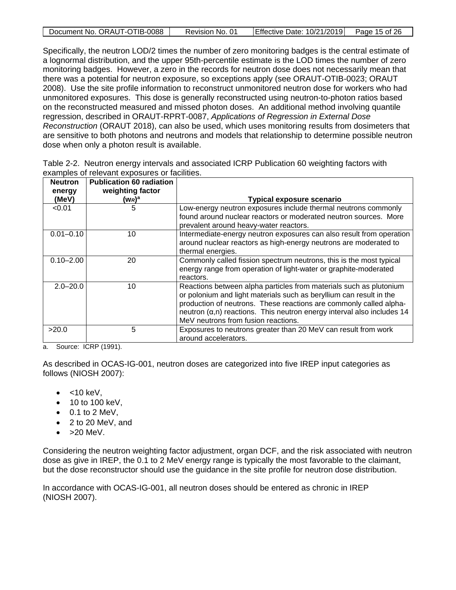| Document No. ORAUT-OTIB-0088 | Revision No. 01 | Effective Date: $10/21/2019$ Page 15 of 26 |  |
|------------------------------|-----------------|--------------------------------------------|--|

Specifically, the neutron LOD/2 times the number of zero monitoring badges is the central estimate of a lognormal distribution, and the upper 95th-percentile estimate is the LOD times the number of zero monitoring badges. However, a zero in the records for neutron dose does not necessarily mean that there was a potential for neutron exposure, so exceptions apply (see ORAUT-OTIB-0023; ORAUT 2008). Use the site profile information to reconstruct unmonitored neutron dose for workers who had unmonitored exposures. This dose is generally reconstructed using neutron-to-photon ratios based on the reconstructed measured and missed photon doses. An additional method involving quantile regression, described in ORAUT-RPRT-0087, *Applications of Regression in External Dose Reconstruction* (ORAUT 2018), can also be used, which uses monitoring results from dosimeters that are sensitive to both photons and neutrons and models that relationship to determine possible neutron dose when only a photon result is available.

<span id="page-14-0"></span>

| Table 2-2. Neutron energy intervals and associated ICRP Publication 60 weighting factors with |  |  |  |
|-----------------------------------------------------------------------------------------------|--|--|--|
| examples of relevant exposures or facilities.                                                 |  |  |  |

| <b>Neutron</b><br>energy | <b>Publication 60 radiation</b><br>weighting factor |                                                                                                                                                                                                                                                                                                                                          |
|--------------------------|-----------------------------------------------------|------------------------------------------------------------------------------------------------------------------------------------------------------------------------------------------------------------------------------------------------------------------------------------------------------------------------------------------|
| (MeV)                    | $(w_R)^a$                                           | <b>Typical exposure scenario</b>                                                                                                                                                                                                                                                                                                         |
| < 0.01                   | 5                                                   | Low-energy neutron exposures include thermal neutrons commonly<br>found around nuclear reactors or moderated neutron sources. More<br>prevalent around heavy-water reactors.                                                                                                                                                             |
| $0.01 - 0.10$            | 10                                                  | Intermediate-energy neutron exposures can also result from operation<br>around nuclear reactors as high-energy neutrons are moderated to<br>thermal energies.                                                                                                                                                                            |
| $0.10 - 2.00$            | 20                                                  | Commonly called fission spectrum neutrons, this is the most typical<br>energy range from operation of light-water or graphite-moderated<br>reactors.                                                                                                                                                                                     |
| $2.0 - 20.0$             | 10                                                  | Reactions between alpha particles from materials such as plutonium<br>or polonium and light materials such as beryllium can result in the<br>production of neutrons. These reactions are commonly called alpha-<br>neutron $(\alpha, n)$ reactions. This neutron energy interval also includes 14<br>MeV neutrons from fusion reactions. |
| >20.0                    | 5                                                   | Exposures to neutrons greater than 20 MeV can result from work<br>around accelerators.                                                                                                                                                                                                                                                   |

a. Source: ICRP (1991).

As described in OCAS-IG-001, neutron doses are categorized into five IREP input categories as follows (NIOSH 2007):

- $\bullet$  <10 keV,
- 10 to 100 keV,
- $\bullet$  0.1 to 2 MeV,
- 2 to 20 MeV, and
- $\bullet$  >20 MeV.

Considering the neutron weighting factor adjustment, organ DCF, and the risk associated with neutron dose as give in IREP, the 0.1 to 2 MeV energy range is typically the most favorable to the claimant, but the dose reconstructor should use the guidance in the site profile for neutron dose distribution.

In accordance with OCAS-IG-001, all neutron doses should be entered as chronic in IREP (NIOSH 2007).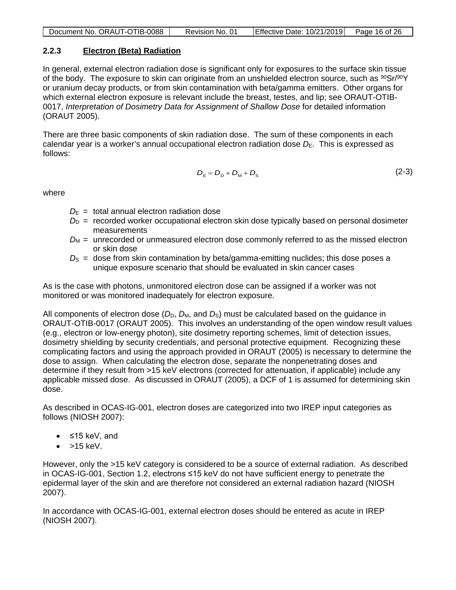| Document No. ORAUT-OTIB-0088 | Revision No. 01 | Effective Date: $10/21/2019$ Page 16 of 26 |  |
|------------------------------|-----------------|--------------------------------------------|--|
|                              |                 |                                            |  |

# <span id="page-15-0"></span>**2.2.3 Electron (Beta) Radiation**

In general, external electron radiation dose is significant only for exposures to the surface skin tissue of the body. The exposure to skin can originate from an unshielded electron source, such as  $90Sr/90Y$ or uranium decay products, or from skin contamination with beta/gamma emitters. Other organs for which external electron exposure is relevant include the breast, testes, and lip; see ORAUT-OTIB-0017, *Interpretation of Dosimetry Data for Assignment of Shallow Dose* for detailed information (ORAUT 2005).

There are three basic components of skin radiation dose. The sum of these components in each calendar year is a worker's annual occupational electron radiation dose  $D_{E}$ . This is expressed as follows:

$$
D_{\rm E} = D_{\rm D} + D_{\rm M} + D_{\rm S} \tag{2-3}
$$

where

- $D_{\rm E}$  = total annual electron radiation dose
- $D<sub>D</sub>$  = recorded worker occupational electron skin dose typically based on personal dosimeter measurements
- $D_M$  = unrecorded or unmeasured electron dose commonly referred to as the missed electron or skin dose
- $D<sub>S</sub>$  = dose from skin contamination by beta/gamma-emitting nuclides; this dose poses a unique exposure scenario that should be evaluated in skin cancer cases

As is the case with photons, unmonitored electron dose can be assigned if a worker was not monitored or was monitored inadequately for electron exposure.

All components of electron dose  $(D_D, D_M,$  and  $D_S)$  must be calculated based on the guidance in ORAUT-OTIB-0017 (ORAUT 2005). This involves an understanding of the open window result values (e.g., electron or low-energy photon), site dosimetry reporting schemes, limit of detection issues, dosimetry shielding by security credentials, and personal protective equipment. Recognizing these complicating factors and using the approach provided in ORAUT (2005) is necessary to determine the dose to assign. When calculating the electron dose, separate the nonpenetrating doses and determine if they result from >15 keV electrons (corrected for attenuation, if applicable) include any applicable missed dose. As discussed in ORAUT (2005), a DCF of 1 is assumed for determining skin dose.

As described in OCAS-IG-001, electron doses are categorized into two IREP input categories as follows (NIOSH 2007):

- ≤15 keV, and
- $\bullet$  >15 keV.

However, only the >15 keV category is considered to be a source of external radiation. As described in OCAS-IG-001, Section 1.2, electrons ≤15 keV do not have sufficient energy to penetrate the epidermal layer of the skin and are therefore not considered an external radiation hazard (NIOSH 2007).

In accordance with OCAS-IG-001, external electron doses should be entered as acute in IREP (NIOSH 2007).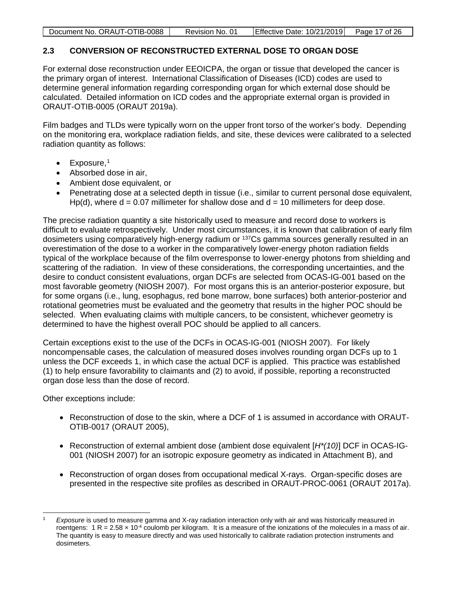| Document No. ORAUT-OTIB-0088<br>Effective Date: $10/21/2019$ Page 17 of 26<br>Revision No. 01 |
|-----------------------------------------------------------------------------------------------|
|-----------------------------------------------------------------------------------------------|

# <span id="page-16-0"></span>**2.3 CONVERSION OF RECONSTRUCTED EXTERNAL DOSE TO ORGAN DOSE**

For external dose reconstruction under EEOICPA, the organ or tissue that developed the cancer is the primary organ of interest. International Classification of Diseases (ICD) codes are used to determine general information regarding corresponding organ for which external dose should be calculated. Detailed information on ICD codes and the appropriate external organ is provided in ORAUT-OTIB-0005 (ORAUT 2019a).

Film badges and TLDs were typically worn on the upper front torso of the worker's body. Depending on the monitoring era, workplace radiation fields, and site, these devices were calibrated to a selected radiation quantity as follows:

- $\bullet$  Exposure,<sup>1</sup>
- Absorbed dose in air,
- Ambient dose equivalent, or
- Penetrating dose at a selected depth in tissue (i.e., similar to current personal dose equivalent, Hp(d), where  $d = 0.07$  millimeter for shallow dose and  $d = 10$  millimeters for deep dose.

The precise radiation quantity a site historically used to measure and record dose to workers is difficult to evaluate retrospectively. Under most circumstances, it is known that calibration of early film dosimeters using comparatively high-energy radium or 137Cs gamma sources generally resulted in an overestimation of the dose to a worker in the comparatively lower-energy photon radiation fields typical of the workplace because of the film overresponse to lower-energy photons from shielding and scattering of the radiation. In view of these considerations, the corresponding uncertainties, and the desire to conduct consistent evaluations, organ DCFs are selected from OCAS-IG-001 based on the most favorable geometry (NIOSH 2007). For most organs this is an anterior-posterior exposure, but for some organs (i.e., lung, esophagus, red bone marrow, bone surfaces) both anterior-posterior and rotational geometries must be evaluated and the geometry that results in the higher POC should be selected. When evaluating claims with multiple cancers, to be consistent, whichever geometry is determined to have the highest overall POC should be applied to all cancers.

Certain exceptions exist to the use of the DCFs in OCAS-IG-001 (NIOSH 2007). For likely noncompensable cases, the calculation of measured doses involves rounding organ DCFs up to 1 unless the DCF exceeds 1, in which case the actual DCF is applied. This practice was established (1) to help ensure favorability to claimants and (2) to avoid, if possible, reporting a reconstructed organ dose less than the dose of record.

Other exceptions include:

- Reconstruction of dose to the skin, where a DCF of 1 is assumed in accordance with ORAUT-OTIB-0017 (ORAUT 2005),
- Reconstruction of external ambient dose (ambient dose equivalent [*H\*(10)*] DCF in OCAS-IG-001 (NIOSH 2007) for an isotropic exposure geometry as indicated in Attachment B), and
- Reconstruction of organ doses from occupational medical X-rays. Organ-specific doses are presented in the respective site profiles as described in ORAUT-PROC-0061 (ORAUT 2017a).

<sup>1</sup> *Exposure* is used to measure gamma and X-ray radiation interaction only with air and was historically measured in roentgens:  $1 R = 2.58 \times 10^{-4}$  coulomb per kilogram. It is a measure of the ionizations of the molecules in a mass of air. The quantity is easy to measure directly and was used historically to calibrate radiation protection instruments and dosimeters.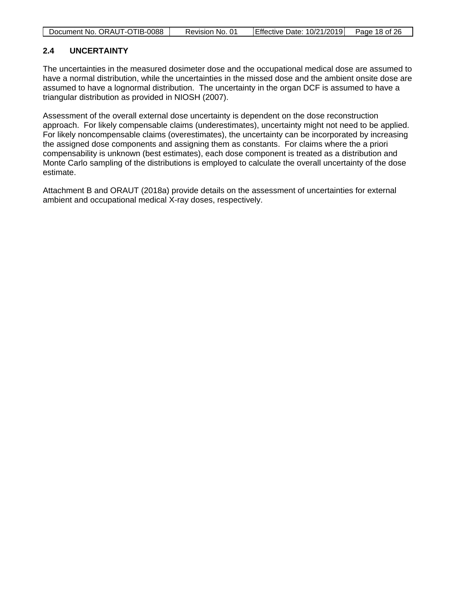| Document No. ORAUT-OTIB-0088 | Revision No. 01 | Effective Date: 10/21/2019 | Page 18 of 26 |
|------------------------------|-----------------|----------------------------|---------------|

# <span id="page-17-0"></span>**2.4 UNCERTAINTY**

The uncertainties in the measured dosimeter dose and the occupational medical dose are assumed to have a normal distribution, while the uncertainties in the missed dose and the ambient onsite dose are assumed to have a lognormal distribution. The uncertainty in the organ DCF is assumed to have a triangular distribution as provided in NIOSH (2007).

Assessment of the overall external dose uncertainty is dependent on the dose reconstruction approach. For likely compensable claims (underestimates), uncertainty might not need to be applied. For likely noncompensable claims (overestimates), the uncertainty can be incorporated by increasing the assigned dose components and assigning them as constants. For claims where the a priori compensability is unknown (best estimates), each dose component is treated as a distribution and Monte Carlo sampling of the distributions is employed to calculate the overall uncertainty of the dose estimate.

Attachment B and ORAUT (2018a) provide details on the assessment of uncertainties for external ambient and occupational medical X-ray doses, respectively.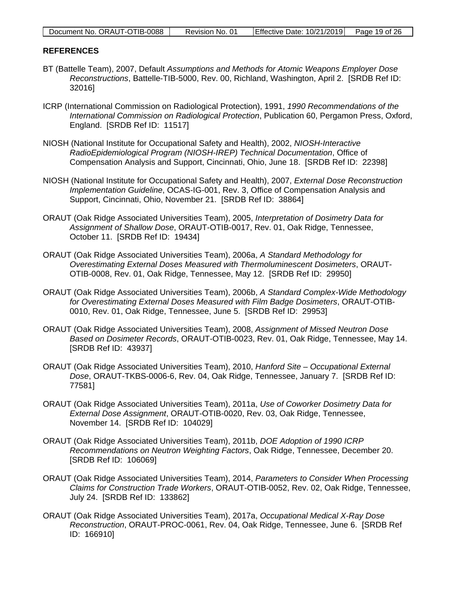| Document No. ORAUT-OTIB-0088 | Revision No. 01 | Effective Date: 10/21/2019 Page 19 of 26 |  |
|------------------------------|-----------------|------------------------------------------|--|

#### <span id="page-18-0"></span>**REFERENCES**

- BT (Battelle Team), 2007, Default *Assumptions and Methods for Atomic Weapons Employer Dose Reconstructions*, Battelle-TIB-5000, Rev. 00, Richland, Washington, April 2. [SRDB Ref ID: 32016]
- ICRP (International Commission on Radiological Protection), 1991, *1990 Recommendations of the International Commission on Radiological Protection*, Publication 60, Pergamon Press, Oxford, England. [SRDB Ref ID: 11517]
- NIOSH (National Institute for Occupational Safety and Health), 2002, *NIOSH-Interactive RadioEpidemiological Program (NIOSH-IREP) Technical Documentation*, Office of Compensation Analysis and Support, Cincinnati, Ohio, June 18. [SRDB Ref ID: 22398]
- NIOSH (National Institute for Occupational Safety and Health), 2007, *External Dose Reconstruction Implementation Guideline*, OCAS-IG-001, Rev. 3, Office of Compensation Analysis and Support, Cincinnati, Ohio, November 21. [SRDB Ref ID: 38864]
- ORAUT (Oak Ridge Associated Universities Team), 2005, *Interpretation of Dosimetry Data for Assignment of Shallow Dose*, ORAUT-OTIB-0017, Rev. 01, Oak Ridge, Tennessee, October 11. [SRDB Ref ID: 19434]
- ORAUT (Oak Ridge Associated Universities Team), 2006a, *A Standard Methodology for Overestimating External Doses Measured with Thermoluminescent Dosimeters*, ORAUT-OTIB-0008, Rev. 01, Oak Ridge, Tennessee, May 12. [SRDB Ref ID: 29950]
- ORAUT (Oak Ridge Associated Universities Team), 2006b, *A Standard Complex-Wide Methodology for Overestimating External Doses Measured with Film Badge Dosimeters*, ORAUT-OTIB-0010, Rev. 01, Oak Ridge, Tennessee, June 5. [SRDB Ref ID: 29953]
- ORAUT (Oak Ridge Associated Universities Team), 2008, *Assignment of Missed Neutron Dose Based on Dosimeter Records*, ORAUT-OTIB-0023, Rev. 01, Oak Ridge, Tennessee, May 14. [SRDB Ref ID: 43937]
- ORAUT (Oak Ridge Associated Universities Team), 2010, *Hanford Site Occupational External Dose*, ORAUT-TKBS-0006-6, Rev. 04, Oak Ridge, Tennessee, January 7. [SRDB Ref ID: 77581]
- ORAUT (Oak Ridge Associated Universities Team), 2011a, *Use of Coworker Dosimetry Data for External Dose Assignment*, ORAUT-OTIB-0020, Rev. 03, Oak Ridge, Tennessee, November 14. [SRDB Ref ID: 104029]
- ORAUT (Oak Ridge Associated Universities Team), 2011b, *DOE Adoption of 1990 ICRP Recommendations on Neutron Weighting Factors*, Oak Ridge, Tennessee, December 20. [SRDB Ref ID: 106069]
- ORAUT (Oak Ridge Associated Universities Team), 2014, *Parameters to Consider When Processing Claims for Construction Trade Workers*, ORAUT-OTIB-0052, Rev. 02, Oak Ridge, Tennessee, July 24. [SRDB Ref ID: 133862]
- ORAUT (Oak Ridge Associated Universities Team), 2017a, *Occupational Medical X-Ray Dose Reconstruction*, ORAUT-PROC-0061, Rev. 04, Oak Ridge, Tennessee, June 6. [SRDB Ref ID: 166910]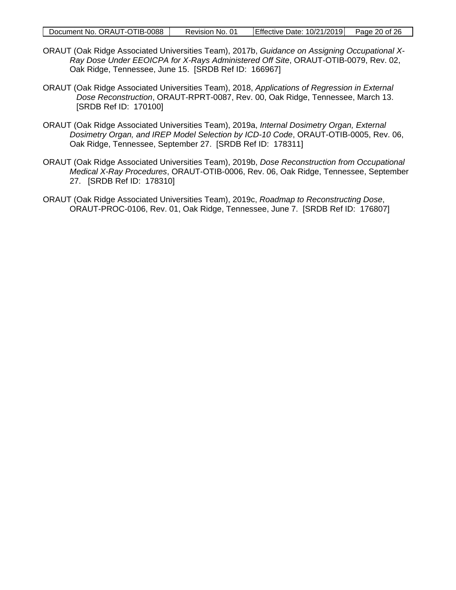|  | Document No. ORAUT-OTIB-0088 | Revision No. 01 | $\left $ Effective Date: 10/21/2019 $\right $ Page 20 of 26 |  |
|--|------------------------------|-----------------|-------------------------------------------------------------|--|
|--|------------------------------|-----------------|-------------------------------------------------------------|--|

- ORAUT (Oak Ridge Associated Universities Team), 2017b, *Guidance on Assigning Occupational X-Ray Dose Under EEOICPA for X-Rays Administered Off Site*, ORAUT-OTIB-0079, Rev. 02, Oak Ridge, Tennessee, June 15. [SRDB Ref ID: 166967]
- ORAUT (Oak Ridge Associated Universities Team), 2018, *Applications of Regression in External Dose Reconstruction*, ORAUT-RPRT-0087, Rev. 00, Oak Ridge, Tennessee, March 13. [SRDB Ref ID: 170100]
- ORAUT (Oak Ridge Associated Universities Team), 2019a, *Internal Dosimetry Organ, External Dosimetry Organ, and IREP Model Selection by ICD-10 Code*, ORAUT-OTIB-0005, Rev. 06, Oak Ridge, Tennessee, September 27. [SRDB Ref ID: 178311]
- ORAUT (Oak Ridge Associated Universities Team), 2019b, *Dose Reconstruction from Occupational Medical X-Ray Procedures*, ORAUT-OTIB-0006, Rev. 06, Oak Ridge, Tennessee, September 27. [SRDB Ref ID: 178310]
- ORAUT (Oak Ridge Associated Universities Team), 2019c, *Roadmap to Reconstructing Dose*, ORAUT-PROC-0106, Rev. 01, Oak Ridge, Tennessee, June 7. [SRDB Ref ID: 176807]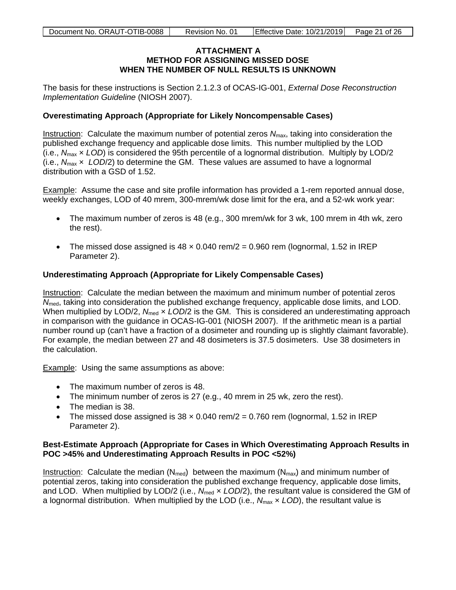#### **ATTACHMENT A METHOD FOR ASSIGNING MISSED DOSE WHEN THE NUMBER OF NULL RESULTS IS UNKNOWN**

<span id="page-20-0"></span>The basis for these instructions is Section 2.1.2.3 of OCAS-IG-001, *External Dose Reconstruction Implementation Guideline* (NIOSH 2007).

#### **Overestimating Approach (Appropriate for Likely Noncompensable Cases)**

Instruction: Calculate the maximum number of potential zeros *N*max, taking into consideration the published exchange frequency and applicable dose limits. This number multiplied by the LOD (i.e., *N*max × *LOD*) is considered the 95th percentile of a lognormal distribution. Multiply by LOD/2 (i.e., *N*max × *LOD*/2) to determine the GM. These values are assumed to have a lognormal distribution with a GSD of 1.52.

Example: Assume the case and site profile information has provided a 1-rem reported annual dose, weekly exchanges, LOD of 40 mrem, 300-mrem/wk dose limit for the era, and a 52-wk work year:

- The maximum number of zeros is 48 (e.g., 300 mrem/wk for 3 wk, 100 mrem in 4th wk, zero the rest).
- The missed dose assigned is  $48 \times 0.040$  rem/ $2 = 0.960$  rem (lognormal, 1.52 in IREP Parameter 2).

# **Underestimating Approach (Appropriate for Likely Compensable Cases)**

Instruction: Calculate the median between the maximum and minimum number of potential zeros  $N_{\text{med}}$ , taking into consideration the published exchange frequency, applicable dose limits, and LOD. When multiplied by LOD/2,  $N_{med} \times LOD/2$  is the GM. This is considered an underestimating approach in comparison with the guidance in OCAS-IG-001 (NIOSH 2007). If the arithmetic mean is a partial number round up (can't have a fraction of a dosimeter and rounding up is slightly claimant favorable). For example, the median between 27 and 48 dosimeters is 37.5 dosimeters. Use 38 dosimeters in the calculation.

Example: Using the same assumptions as above:

- The maximum number of zeros is 48.
- The minimum number of zeros is 27 (e.g., 40 mrem in 25 wk, zero the rest).
- The median is 38.
- The missed dose assigned is  $38 \times 0.040$  rem/ $2 = 0.760$  rem (lognormal, 1.52 in IREP Parameter 2).

#### **Best-Estimate Approach (Appropriate for Cases in Which Overestimating Approach Results in POC >45% and Underestimating Approach Results in POC <52%)**

Instruction: Calculate the median ( $N_{med}$ ) between the maximum ( $N_{max}$ ) and minimum number of potential zeros, taking into consideration the published exchange frequency, applicable dose limits, and LOD. When multiplied by LOD/2 (i.e., N<sub>med</sub> x LOD/2), the resultant value is considered the GM of a lognormal distribution. When multiplied by the LOD (i.e., *N*max × *LOD*), the resultant value is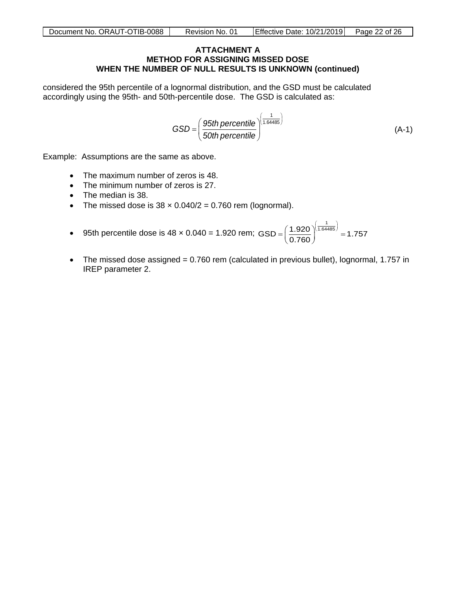#### **ATTACHMENT A METHOD FOR ASSIGNING MISSED DOSE WHEN THE NUMBER OF NULL RESULTS IS UNKNOWN (continued)**

considered the 95th percentile of a lognormal distribution, and the GSD must be calculated accordingly using the 95th- and 50th-percentile dose. The GSD is calculated as:

$$
GSD = \left(\frac{95th\,\text{percentile}}{50th\,\text{percentile}}\right)^{\left(\frac{1}{1.64485}\right)}
$$
\n(A-1)

Example: Assumptions are the same as above.

- The maximum number of zeros is 48.
- The minimum number of zeros is 27.
- The median is 38.
- The missed dose is  $38 \times 0.040/2 = 0.760$  rem (lognormal).
- 95th percentile dose is 48 x 0.040 = 1.920 rem; GSD =  $\left( \frac{1.920}{2.725} \right)^{\left( \frac{1}{1.64485} \right)}$  $=\left(\frac{1.920}{0.760}\right)^{(.04465)}$  $\text{GSD} = \left(\frac{1.920}{0.760}\right)^{\left(\frac{1}{1.64485}\right)} = 1.757$
- The missed dose assigned = 0.760 rem (calculated in previous bullet), lognormal, 1.757 in IREP parameter 2.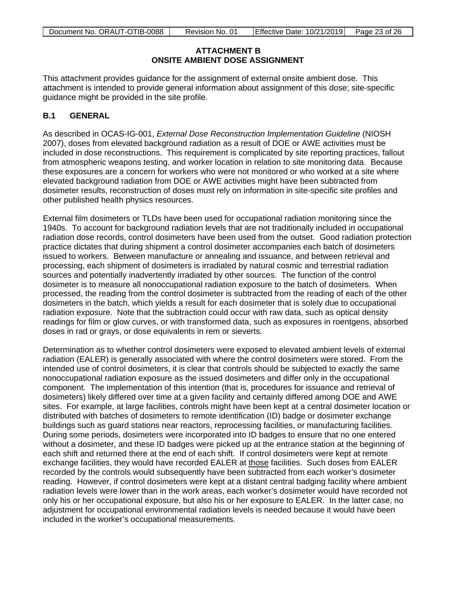# **ATTACHMENT B ONSITE AMBIENT DOSE ASSIGNMENT**

<span id="page-22-0"></span>This attachment provides guidance for the assignment of external onsite ambient dose. This attachment is intended to provide general information about assignment of this dose; site-specific guidance might be provided in the site profile.

# **B.1 GENERAL**

As described in OCAS-IG-001, *External Dose Reconstruction Implementation Guideline* (NIOSH 2007), doses from elevated background radiation as a result of DOE or AWE activities must be included in dose reconstructions. This requirement is complicated by site reporting practices, fallout from atmospheric weapons testing, and worker location in relation to site monitoring data. Because these exposures are a concern for workers who were not monitored or who worked at a site where elevated background radiation from DOE or AWE activities might have been subtracted from dosimeter results, reconstruction of doses must rely on information in site-specific site profiles and other published health physics resources.

External film dosimeters or TLDs have been used for occupational radiation monitoring since the 1940s. To account for background radiation levels that are not traditionally included in occupational radiation dose records, control dosimeters have been used from the outset. Good radiation protection practice dictates that during shipment a control dosimeter accompanies each batch of dosimeters issued to workers. Between manufacture or annealing and issuance, and between retrieval and processing, each shipment of dosimeters is irradiated by natural cosmic and terrestrial radiation sources and potentially inadvertently irradiated by other sources. The function of the control dosimeter is to measure all nonoccupational radiation exposure to the batch of dosimeters. When processed, the reading from the control dosimeter is subtracted from the reading of each of the other dosimeters in the batch, which yields a result for each dosimeter that is solely due to occupational radiation exposure. Note that the subtraction could occur with raw data, such as optical density readings for film or glow curves, or with transformed data, such as exposures in roentgens, absorbed doses in rad or grays, or dose equivalents in rem or sieverts.

Determination as to whether control dosimeters were exposed to elevated ambient levels of external radiation (EALER) is generally associated with where the control dosimeters were stored. From the intended use of control dosimeters, it is clear that controls should be subjected to exactly the same nonoccupational radiation exposure as the issued dosimeters and differ only in the occupational component. The implementation of this intention (that is, procedures for issuance and retrieval of dosimeters) likely differed over time at a given facility and certainly differed among DOE and AWE sites. For example, at large facilities, controls might have been kept at a central dosimeter location or distributed with batches of dosimeters to remote identification (ID) badge or dosimeter exchange buildings such as guard stations near reactors, reprocessing facilities, or manufacturing facilities. During some periods, dosimeters were incorporated into ID badges to ensure that no one entered without a dosimeter, and these ID badges were picked up at the entrance station at the beginning of each shift and returned there at the end of each shift. If control dosimeters were kept at remote exchange facilities, they would have recorded EALER at those facilities. Such doses from EALER recorded by the controls would subsequently have been subtracted from each worker's dosimeter reading. However, if control dosimeters were kept at a distant central badging facility where ambient radiation levels were lower than in the work areas, each worker's dosimeter would have recorded not only his or her occupational exposure, but also his or her exposure to EALER. In the latter case, no adjustment for occupational environmental radiation levels is needed because it would have been included in the worker's occupational measurements.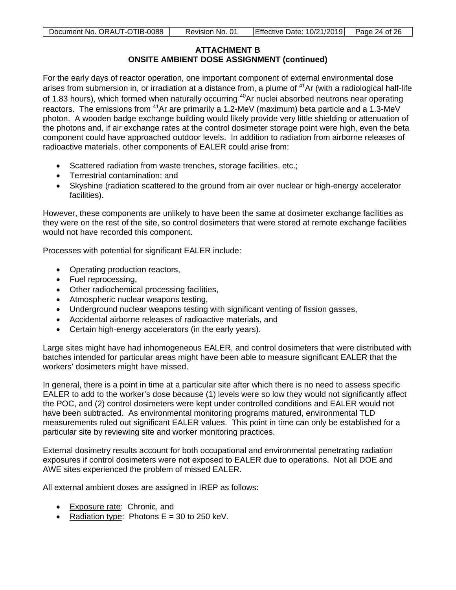# **ATTACHMENT B ONSITE AMBIENT DOSE ASSIGNMENT (continued)**

For the early days of reactor operation, one important component of external environmental dose arises from submersion in, or irradiation at a distance from, a plume of <sup>41</sup>Ar (with a radiological half-life of 1.83 hours), which formed when naturally occurring <sup>40</sup>Ar nuclei absorbed neutrons near operating reactors. The emissions from 41Ar are primarily a 1.2-MeV (maximum) beta particle and a 1.3-MeV photon. A wooden badge exchange building would likely provide very little shielding or attenuation of the photons and, if air exchange rates at the control dosimeter storage point were high, even the beta component could have approached outdoor levels. In addition to radiation from airborne releases of radioactive materials, other components of EALER could arise from:

- Scattered radiation from waste trenches, storage facilities, etc.;
- Terrestrial contamination; and
- Skyshine (radiation scattered to the ground from air over nuclear or high-energy accelerator facilities).

However, these components are unlikely to have been the same at dosimeter exchange facilities as they were on the rest of the site, so control dosimeters that were stored at remote exchange facilities would not have recorded this component.

Processes with potential for significant EALER include:

- Operating production reactors,
- Fuel reprocessing,
- Other radiochemical processing facilities,
- Atmospheric nuclear weapons testing,
- Underground nuclear weapons testing with significant venting of fission gasses,
- Accidental airborne releases of radioactive materials, and
- Certain high-energy accelerators (in the early years).

Large sites might have had inhomogeneous EALER, and control dosimeters that were distributed with batches intended for particular areas might have been able to measure significant EALER that the workers' dosimeters might have missed.

In general, there is a point in time at a particular site after which there is no need to assess specific EALER to add to the worker's dose because (1) levels were so low they would not significantly affect the POC, and (2) control dosimeters were kept under controlled conditions and EALER would not have been subtracted. As environmental monitoring programs matured, environmental TLD measurements ruled out significant EALER values. This point in time can only be established for a particular site by reviewing site and worker monitoring practices.

External dosimetry results account for both occupational and environmental penetrating radiation exposures if control dosimeters were not exposed to EALER due to operations. Not all DOE and AWE sites experienced the problem of missed EALER.

All external ambient doses are assigned in IREP as follows:

- Exposure rate: Chronic, and
- Radiation type: Photons  $E = 30$  to 250 keV.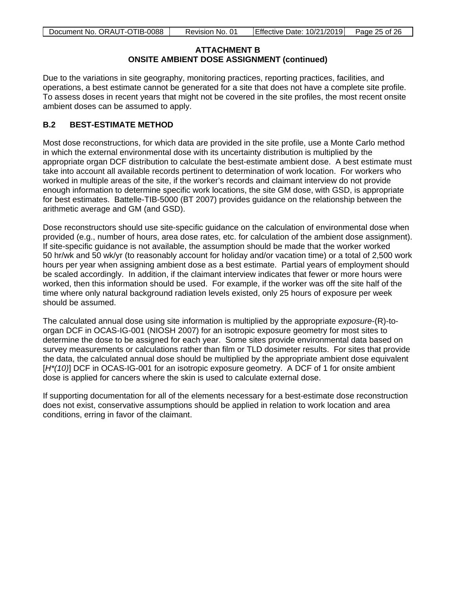# **ATTACHMENT B ONSITE AMBIENT DOSE ASSIGNMENT (continued)**

Due to the variations in site geography, monitoring practices, reporting practices, facilities, and operations, a best estimate cannot be generated for a site that does not have a complete site profile. To assess doses in recent years that might not be covered in the site profiles, the most recent onsite ambient doses can be assumed to apply.

# **B.2 BEST-ESTIMATE METHOD**

Most dose reconstructions, for which data are provided in the site profile, use a Monte Carlo method in which the external environmental dose with its uncertainty distribution is multiplied by the appropriate organ DCF distribution to calculate the best-estimate ambient dose. A best estimate must take into account all available records pertinent to determination of work location. For workers who worked in multiple areas of the site, if the worker's records and claimant interview do not provide enough information to determine specific work locations, the site GM dose, with GSD, is appropriate for best estimates. Battelle-TIB-5000 (BT 2007) provides guidance on the relationship between the arithmetic average and GM (and GSD).

Dose reconstructors should use site-specific guidance on the calculation of environmental dose when provided (e.g., number of hours, area dose rates, etc. for calculation of the ambient dose assignment). If site-specific guidance is not available, the assumption should be made that the worker worked 50 hr/wk and 50 wk/yr (to reasonably account for holiday and/or vacation time) or a total of 2,500 work hours per year when assigning ambient dose as a best estimate. Partial years of employment should be scaled accordingly. In addition, if the claimant interview indicates that fewer or more hours were worked, then this information should be used. For example, if the worker was off the site half of the time where only natural background radiation levels existed, only 25 hours of exposure per week should be assumed.

The calculated annual dose using site information is multiplied by the appropriate *exposure*-(R)-toorgan DCF in OCAS-IG-001 (NIOSH 2007) for an isotropic exposure geometry for most sites to determine the dose to be assigned for each year. Some sites provide environmental data based on survey measurements or calculations rather than film or TLD dosimeter results. For sites that provide the data, the calculated annual dose should be multiplied by the appropriate ambient dose equivalent [H<sup>\*</sup>(10)] DCF in OCAS-IG-001 for an isotropic exposure geometry. A DCF of 1 for onsite ambient dose is applied for cancers where the skin is used to calculate external dose.

If supporting documentation for all of the elements necessary for a best-estimate dose reconstruction does not exist, conservative assumptions should be applied in relation to work location and area conditions, erring in favor of the claimant.